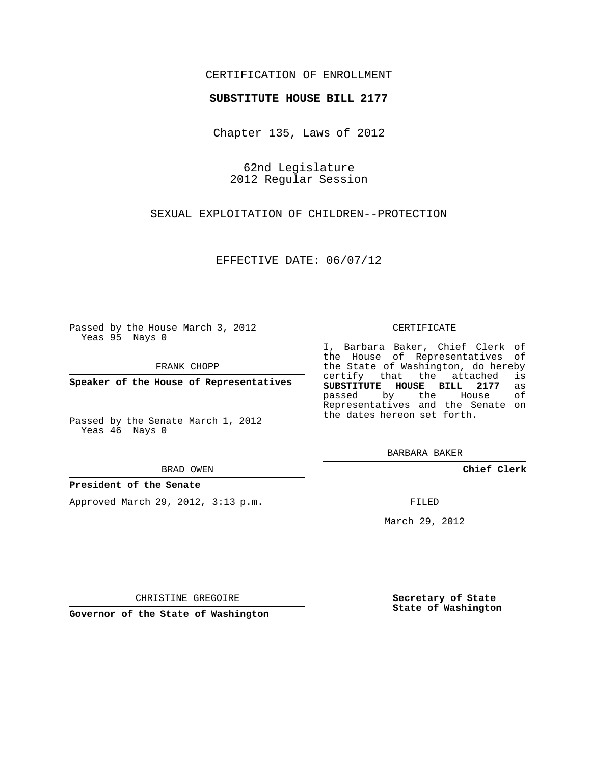# CERTIFICATION OF ENROLLMENT

### **SUBSTITUTE HOUSE BILL 2177**

Chapter 135, Laws of 2012

62nd Legislature 2012 Regular Session

SEXUAL EXPLOITATION OF CHILDREN--PROTECTION

EFFECTIVE DATE: 06/07/12

Passed by the House March 3, 2012 Yeas 95 Nays 0

FRANK CHOPP

**Speaker of the House of Representatives**

Passed by the Senate March 1, 2012 Yeas 46 Nays 0

BRAD OWEN

### **President of the Senate**

Approved March 29, 2012, 3:13 p.m.

CERTIFICATE

I, Barbara Baker, Chief Clerk of the House of Representatives of the State of Washington, do hereby<br>certify that the attached is certify that the attached **SUBSTITUTE HOUSE BILL 2177** as passed by the House of Representatives and the Senate on the dates hereon set forth.

BARBARA BAKER

**Chief Clerk**

FILED

March 29, 2012

**Secretary of State State of Washington**

CHRISTINE GREGOIRE

**Governor of the State of Washington**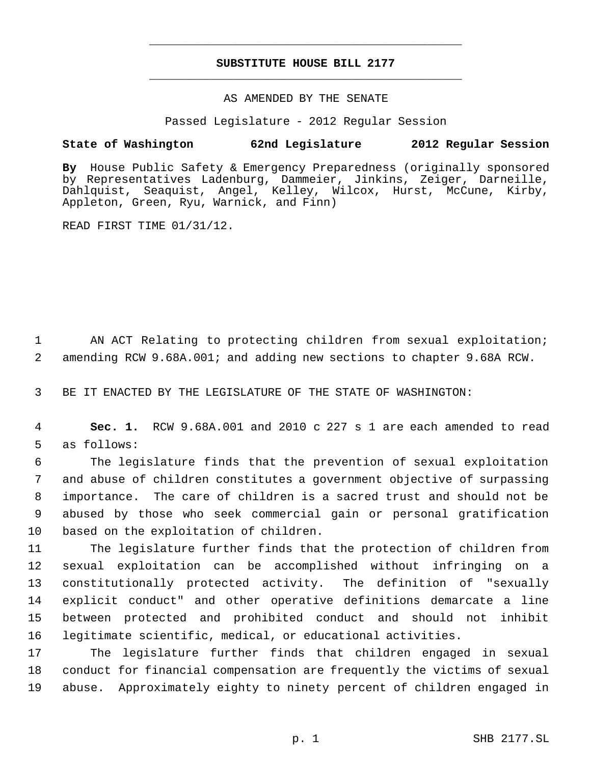# **SUBSTITUTE HOUSE BILL 2177** \_\_\_\_\_\_\_\_\_\_\_\_\_\_\_\_\_\_\_\_\_\_\_\_\_\_\_\_\_\_\_\_\_\_\_\_\_\_\_\_\_\_\_\_\_

\_\_\_\_\_\_\_\_\_\_\_\_\_\_\_\_\_\_\_\_\_\_\_\_\_\_\_\_\_\_\_\_\_\_\_\_\_\_\_\_\_\_\_\_\_

### AS AMENDED BY THE SENATE

Passed Legislature - 2012 Regular Session

# **State of Washington 62nd Legislature 2012 Regular Session**

**By** House Public Safety & Emergency Preparedness (originally sponsored by Representatives Ladenburg, Dammeier, Jinkins, Zeiger, Darneille, Dahlquist, Seaquist, Angel, Kelley, Wilcox, Hurst, McCune, Kirby, Appleton, Green, Ryu, Warnick, and Finn)

READ FIRST TIME 01/31/12.

 AN ACT Relating to protecting children from sexual exploitation; amending RCW 9.68A.001; and adding new sections to chapter 9.68A RCW.

BE IT ENACTED BY THE LEGISLATURE OF THE STATE OF WASHINGTON:

 **Sec. 1.** RCW 9.68A.001 and 2010 c 227 s 1 are each amended to read as follows:

 The legislature finds that the prevention of sexual exploitation and abuse of children constitutes a government objective of surpassing importance. The care of children is a sacred trust and should not be abused by those who seek commercial gain or personal gratification based on the exploitation of children.

 The legislature further finds that the protection of children from sexual exploitation can be accomplished without infringing on a constitutionally protected activity. The definition of "sexually explicit conduct" and other operative definitions demarcate a line between protected and prohibited conduct and should not inhibit legitimate scientific, medical, or educational activities.

 The legislature further finds that children engaged in sexual conduct for financial compensation are frequently the victims of sexual abuse. Approximately eighty to ninety percent of children engaged in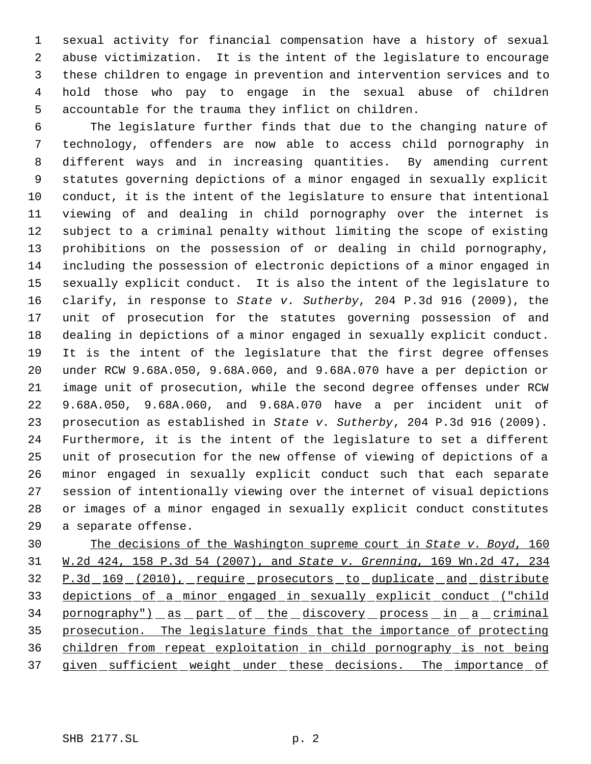sexual activity for financial compensation have a history of sexual abuse victimization. It is the intent of the legislature to encourage these children to engage in prevention and intervention services and to hold those who pay to engage in the sexual abuse of children accountable for the trauma they inflict on children.

 The legislature further finds that due to the changing nature of technology, offenders are now able to access child pornography in different ways and in increasing quantities. By amending current statutes governing depictions of a minor engaged in sexually explicit conduct, it is the intent of the legislature to ensure that intentional viewing of and dealing in child pornography over the internet is subject to a criminal penalty without limiting the scope of existing prohibitions on the possession of or dealing in child pornography, including the possession of electronic depictions of a minor engaged in sexually explicit conduct. It is also the intent of the legislature to clarify, in response to *State v. Sutherby*, 204 P.3d 916 (2009), the unit of prosecution for the statutes governing possession of and dealing in depictions of a minor engaged in sexually explicit conduct. It is the intent of the legislature that the first degree offenses under RCW 9.68A.050, 9.68A.060, and 9.68A.070 have a per depiction or image unit of prosecution, while the second degree offenses under RCW 9.68A.050, 9.68A.060, and 9.68A.070 have a per incident unit of prosecution as established in *State v. Sutherby*, 204 P.3d 916 (2009). Furthermore, it is the intent of the legislature to set a different unit of prosecution for the new offense of viewing of depictions of a minor engaged in sexually explicit conduct such that each separate session of intentionally viewing over the internet of visual depictions or images of a minor engaged in sexually explicit conduct constitutes a separate offense.

 The decisions of the Washington supreme court in *State v. Boyd*, 160 W.2d 424, 158 P.3d 54 (2007), and *State v. Grenning*, 169 Wn.2d 47, 234 32 P.3d 169 (2010), require prosecutors to duplicate and distribute depictions of a minor engaged in sexually explicit conduct ("child 34 pornography") as part of the discovery process in a criminal prosecution. The legislature finds that the importance of protecting children from repeat exploitation in child pornography is not being 37 given sufficient weight under these decisions. The importance of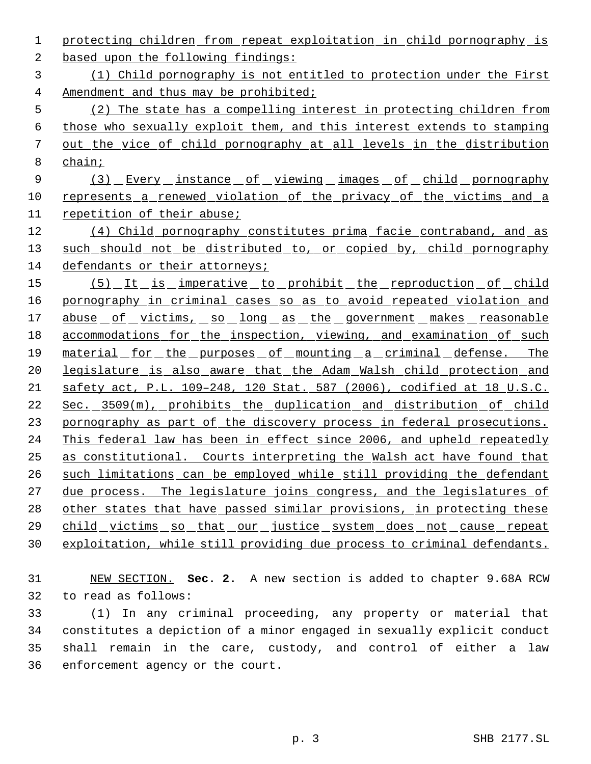protecting children from repeat exploitation in child pornography is

based upon the following findings:

 (1) Child pornography is not entitled to protection under the First Amendment and thus may be prohibited;

 (2) The state has a compelling interest in protecting children from those who sexually exploit them, and this interest extends to stamping out the vice of child pornography at all levels in the distribution chain;

9 (3) Every instance of viewing images of child pornography 10 represents a renewed violation of the privacy of the victims and a repetition of their abuse;

12 (4) Child pornography constitutes prima facie contraband, and as 13 such should not be distributed to, or copied by, child pornography defendants or their attorneys;

15 (5) It is imperative to prohibit the reproduction of child 16 pornography in criminal cases so as to avoid repeated violation and 17 abuse of victims, so long as the government makes reasonable 18 accommodations for the inspection, viewing, and examination of such material for the purposes of mounting a criminal defense. The legislature is also aware that the Adam Walsh child protection and safety act, P.L. 109–248, 120 Stat. 587 (2006), codified at 18 U.S.C. Sec. 3509(m), prohibits the duplication and distribution of child 23 pornography as part of the discovery process in federal prosecutions. This federal law has been in effect since 2006, and upheld repeatedly as constitutional. Courts interpreting the Walsh act have found that such limitations can be employed while still providing the defendant 27 due process. The legislature joins congress, and the legislatures of 28 other states that have passed similar provisions, in protecting these child victims so that our justice system does not cause repeat exploitation, while still providing due process to criminal defendants.

 NEW SECTION. **Sec. 2.** A new section is added to chapter 9.68A RCW to read as follows:

 (1) In any criminal proceeding, any property or material that constitutes a depiction of a minor engaged in sexually explicit conduct shall remain in the care, custody, and control of either a law enforcement agency or the court.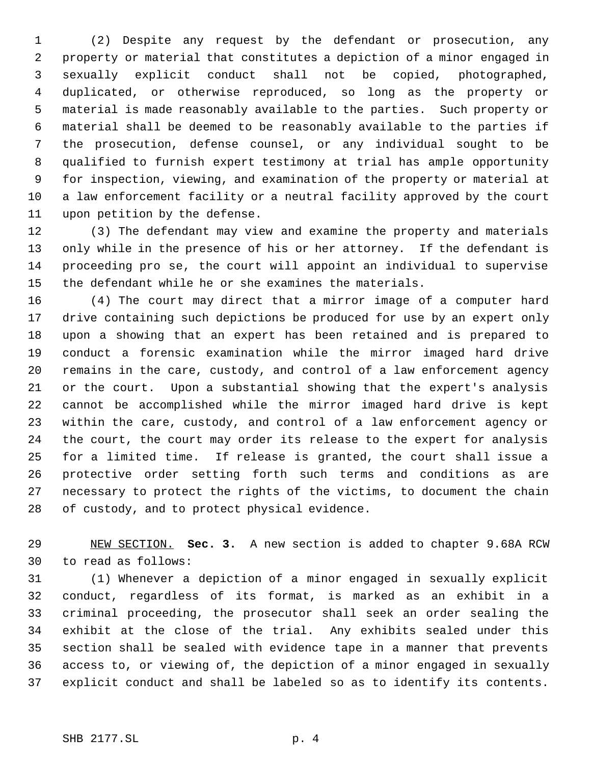(2) Despite any request by the defendant or prosecution, any property or material that constitutes a depiction of a minor engaged in sexually explicit conduct shall not be copied, photographed, duplicated, or otherwise reproduced, so long as the property or material is made reasonably available to the parties. Such property or material shall be deemed to be reasonably available to the parties if the prosecution, defense counsel, or any individual sought to be qualified to furnish expert testimony at trial has ample opportunity for inspection, viewing, and examination of the property or material at a law enforcement facility or a neutral facility approved by the court upon petition by the defense.

 (3) The defendant may view and examine the property and materials only while in the presence of his or her attorney. If the defendant is proceeding pro se, the court will appoint an individual to supervise the defendant while he or she examines the materials.

 (4) The court may direct that a mirror image of a computer hard drive containing such depictions be produced for use by an expert only upon a showing that an expert has been retained and is prepared to conduct a forensic examination while the mirror imaged hard drive remains in the care, custody, and control of a law enforcement agency or the court. Upon a substantial showing that the expert's analysis cannot be accomplished while the mirror imaged hard drive is kept within the care, custody, and control of a law enforcement agency or the court, the court may order its release to the expert for analysis for a limited time. If release is granted, the court shall issue a protective order setting forth such terms and conditions as are necessary to protect the rights of the victims, to document the chain of custody, and to protect physical evidence.

 NEW SECTION. **Sec. 3.** A new section is added to chapter 9.68A RCW to read as follows:

 (1) Whenever a depiction of a minor engaged in sexually explicit conduct, regardless of its format, is marked as an exhibit in a criminal proceeding, the prosecutor shall seek an order sealing the exhibit at the close of the trial. Any exhibits sealed under this section shall be sealed with evidence tape in a manner that prevents access to, or viewing of, the depiction of a minor engaged in sexually explicit conduct and shall be labeled so as to identify its contents.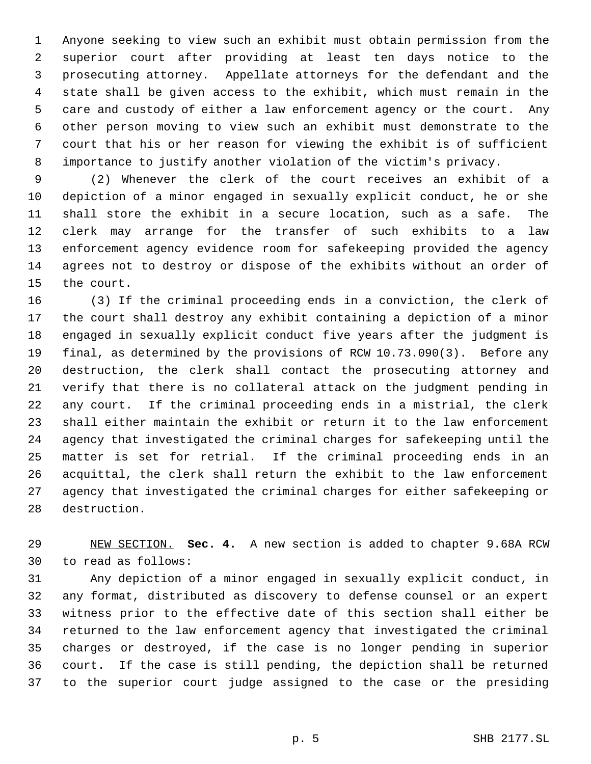Anyone seeking to view such an exhibit must obtain permission from the superior court after providing at least ten days notice to the prosecuting attorney. Appellate attorneys for the defendant and the state shall be given access to the exhibit, which must remain in the care and custody of either a law enforcement agency or the court. Any other person moving to view such an exhibit must demonstrate to the court that his or her reason for viewing the exhibit is of sufficient importance to justify another violation of the victim's privacy.

 (2) Whenever the clerk of the court receives an exhibit of a depiction of a minor engaged in sexually explicit conduct, he or she shall store the exhibit in a secure location, such as a safe. The clerk may arrange for the transfer of such exhibits to a law enforcement agency evidence room for safekeeping provided the agency agrees not to destroy or dispose of the exhibits without an order of the court.

 (3) If the criminal proceeding ends in a conviction, the clerk of the court shall destroy any exhibit containing a depiction of a minor engaged in sexually explicit conduct five years after the judgment is final, as determined by the provisions of RCW 10.73.090(3). Before any destruction, the clerk shall contact the prosecuting attorney and verify that there is no collateral attack on the judgment pending in any court. If the criminal proceeding ends in a mistrial, the clerk shall either maintain the exhibit or return it to the law enforcement agency that investigated the criminal charges for safekeeping until the matter is set for retrial. If the criminal proceeding ends in an acquittal, the clerk shall return the exhibit to the law enforcement agency that investigated the criminal charges for either safekeeping or destruction.

 NEW SECTION. **Sec. 4.** A new section is added to chapter 9.68A RCW to read as follows:

 Any depiction of a minor engaged in sexually explicit conduct, in any format, distributed as discovery to defense counsel or an expert witness prior to the effective date of this section shall either be returned to the law enforcement agency that investigated the criminal charges or destroyed, if the case is no longer pending in superior court. If the case is still pending, the depiction shall be returned to the superior court judge assigned to the case or the presiding